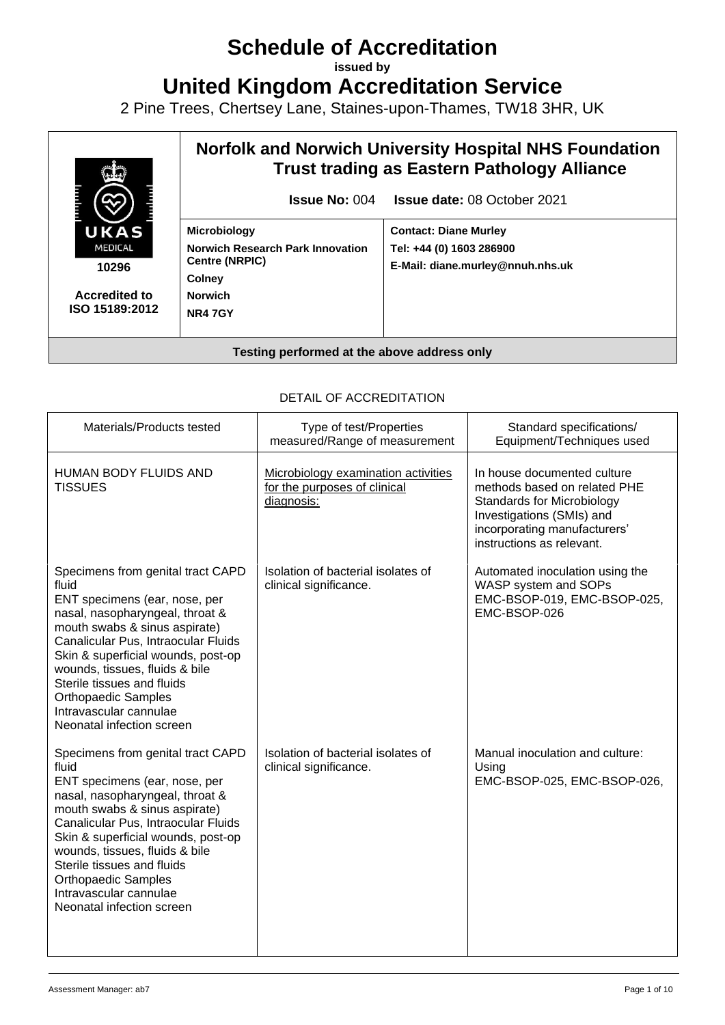# **Schedule of Accreditation**

**issued by**

**United Kingdom Accreditation Service**

2 Pine Trees, Chertsey Lane, Staines-upon-Thames, TW18 3HR, UK



# DETAIL OF ACCREDITATION

| Materials/Products tested                                                                                                                                                                                                                                                                                                                                                         | Type of test/Properties<br>measured/Range of measurement                          | Standard specifications/<br>Equipment/Techniques used                                                                                                                               |
|-----------------------------------------------------------------------------------------------------------------------------------------------------------------------------------------------------------------------------------------------------------------------------------------------------------------------------------------------------------------------------------|-----------------------------------------------------------------------------------|-------------------------------------------------------------------------------------------------------------------------------------------------------------------------------------|
| <b>HUMAN BODY FLUIDS AND</b><br><b>TISSUES</b>                                                                                                                                                                                                                                                                                                                                    | Microbiology examination activities<br>for the purposes of clinical<br>diagnosis: | In house documented culture<br>methods based on related PHE<br>Standards for Microbiology<br>Investigations (SMIs) and<br>incorporating manufacturers'<br>instructions as relevant. |
| Specimens from genital tract CAPD<br>fluid<br>ENT specimens (ear, nose, per<br>nasal, nasopharyngeal, throat &<br>mouth swabs & sinus aspirate)<br>Canalicular Pus, Intraocular Fluids<br>Skin & superficial wounds, post-op<br>wounds, tissues, fluids & bile<br>Sterile tissues and fluids<br><b>Orthopaedic Samples</b><br>Intravascular cannulae<br>Neonatal infection screen | Isolation of bacterial isolates of<br>clinical significance.                      | Automated inoculation using the<br>WASP system and SOPs<br>EMC-BSOP-019, EMC-BSOP-025,<br>EMC-BSOP-026                                                                              |
| Specimens from genital tract CAPD<br>fluid<br>ENT specimens (ear, nose, per<br>nasal, nasopharyngeal, throat &<br>mouth swabs & sinus aspirate)<br>Canalicular Pus, Intraocular Fluids<br>Skin & superficial wounds, post-op<br>wounds, tissues, fluids & bile<br>Sterile tissues and fluids<br><b>Orthopaedic Samples</b><br>Intravascular cannulae<br>Neonatal infection screen | Isolation of bacterial isolates of<br>clinical significance.                      | Manual inoculation and culture:<br>Using<br>EMC-BSOP-025, EMC-BSOP-026,                                                                                                             |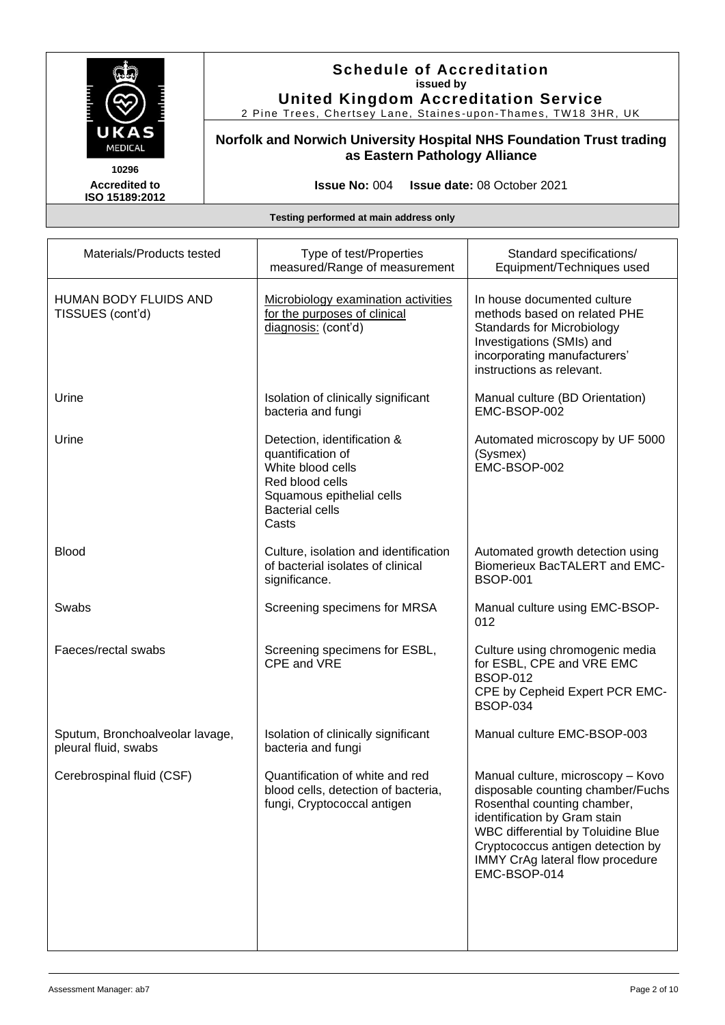

2 Pine Trees, Chertsey Lane, Staines -upon -Thames, TW18 3HR, UK

**Norfolk and Norwich University Hospital NHS Foundation Trust trading as Eastern Pathology Alliance**

**Accredited to ISO 15189:2012** 

**Issue No:** 004 **Issue date:** 08 October 2021

| Materials/Products tested                               | Type of test/Properties<br>measured/Range of measurement                                                                                                 | Standard specifications/<br>Equipment/Techniques used                                                                                                                                                                                                                |
|---------------------------------------------------------|----------------------------------------------------------------------------------------------------------------------------------------------------------|----------------------------------------------------------------------------------------------------------------------------------------------------------------------------------------------------------------------------------------------------------------------|
| <b>HUMAN BODY FLUIDS AND</b><br>TISSUES (cont'd)        | Microbiology examination activities<br>for the purposes of clinical<br>diagnosis: (cont'd)                                                               | In house documented culture<br>methods based on related PHE<br><b>Standards for Microbiology</b><br>Investigations (SMIs) and<br>incorporating manufacturers'<br>instructions as relevant.                                                                           |
| Urine                                                   | Isolation of clinically significant<br>bacteria and fungi                                                                                                | Manual culture (BD Orientation)<br>EMC-BSOP-002                                                                                                                                                                                                                      |
| Urine                                                   | Detection, identification &<br>quantification of<br>White blood cells<br>Red blood cells<br>Squamous epithelial cells<br><b>Bacterial cells</b><br>Casts | Automated microscopy by UF 5000<br>(Sysmex)<br>EMC-BSOP-002                                                                                                                                                                                                          |
| <b>Blood</b>                                            | Culture, isolation and identification<br>of bacterial isolates of clinical<br>significance.                                                              | Automated growth detection using<br><b>Biomerieux BacTALERT and EMC-</b><br><b>BSOP-001</b>                                                                                                                                                                          |
| Swabs                                                   | Screening specimens for MRSA                                                                                                                             | Manual culture using EMC-BSOP-<br>012                                                                                                                                                                                                                                |
| Faeces/rectal swabs                                     | Screening specimens for ESBL,<br>CPE and VRE                                                                                                             | Culture using chromogenic media<br>for ESBL, CPE and VRE EMC<br><b>BSOP-012</b><br>CPE by Cepheid Expert PCR EMC-<br><b>BSOP-034</b>                                                                                                                                 |
| Sputum, Bronchoalveolar lavage,<br>pleural fluid, swabs | Isolation of clinically significant<br>bacteria and fungi                                                                                                | Manual culture EMC-BSOP-003                                                                                                                                                                                                                                          |
| Cerebrospinal fluid (CSF)                               | Quantification of white and red<br>blood cells, detection of bacteria,<br>fungi, Cryptococcal antigen                                                    | Manual culture, microscopy - Kovo<br>disposable counting chamber/Fuchs<br>Rosenthal counting chamber,<br>identification by Gram stain<br>WBC differential by Toluidine Blue<br>Cryptococcus antigen detection by<br>IMMY CrAg lateral flow procedure<br>EMC-BSOP-014 |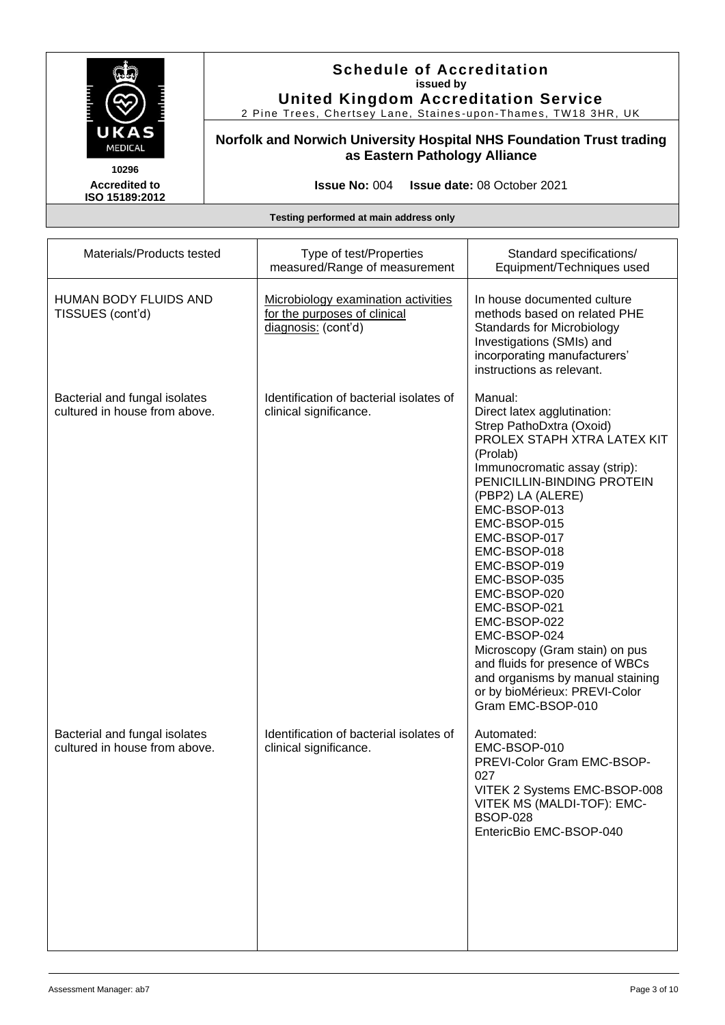

2 Pine Trees, Chertsey Lane, Staines -upon -Thames, TW18 3HR, UK

# **Norfolk and Norwich University Hospital NHS Foundation Trust trading as Eastern Pathology Alliance**

**Accredited to ISO 15189:2012** 

**Issue No:** 004 **Issue date:** 08 October 2021

| Materials/Products tested                                      | Type of test/Properties<br>measured/Range of measurement                                   | Standard specifications/<br>Equipment/Techniques used                                                                                                                                                                                                                                                                                                                                                                                                                                                                            |
|----------------------------------------------------------------|--------------------------------------------------------------------------------------------|----------------------------------------------------------------------------------------------------------------------------------------------------------------------------------------------------------------------------------------------------------------------------------------------------------------------------------------------------------------------------------------------------------------------------------------------------------------------------------------------------------------------------------|
| <b>HUMAN BODY FLUIDS AND</b><br>TISSUES (cont'd)               | Microbiology examination activities<br>for the purposes of clinical<br>diagnosis: (cont'd) | In house documented culture<br>methods based on related PHE<br><b>Standards for Microbiology</b><br>Investigations (SMIs) and<br>incorporating manufacturers'<br>instructions as relevant.                                                                                                                                                                                                                                                                                                                                       |
| Bacterial and fungal isolates<br>cultured in house from above. | Identification of bacterial isolates of<br>clinical significance.                          | Manual:<br>Direct latex agglutination:<br>Strep PathoDxtra (Oxoid)<br>PROLEX STAPH XTRA LATEX KIT<br>(Prolab)<br>Immunocromatic assay (strip):<br>PENICILLIN-BINDING PROTEIN<br>(PBP2) LA (ALERE)<br>EMC-BSOP-013<br>EMC-BSOP-015<br>EMC-BSOP-017<br>EMC-BSOP-018<br>EMC-BSOP-019<br>EMC-BSOP-035<br>EMC-BSOP-020<br>EMC-BSOP-021<br>EMC-BSOP-022<br>EMC-BSOP-024<br>Microscopy (Gram stain) on pus<br>and fluids for presence of WBCs<br>and organisms by manual staining<br>or by bioMérieux: PREVI-Color<br>Gram EMC-BSOP-010 |
| Bacterial and fungal isolates<br>cultured in house from above. | Identification of bacterial isolates of<br>clinical significance.                          | Automated:<br>EMC-BSOP-010<br>PREVI-Color Gram EMC-BSOP-<br>027<br>VITEK 2 Systems EMC-BSOP-008<br>VITEK MS (MALDI-TOF): EMC-<br><b>BSOP-028</b><br>EntericBio EMC-BSOP-040                                                                                                                                                                                                                                                                                                                                                      |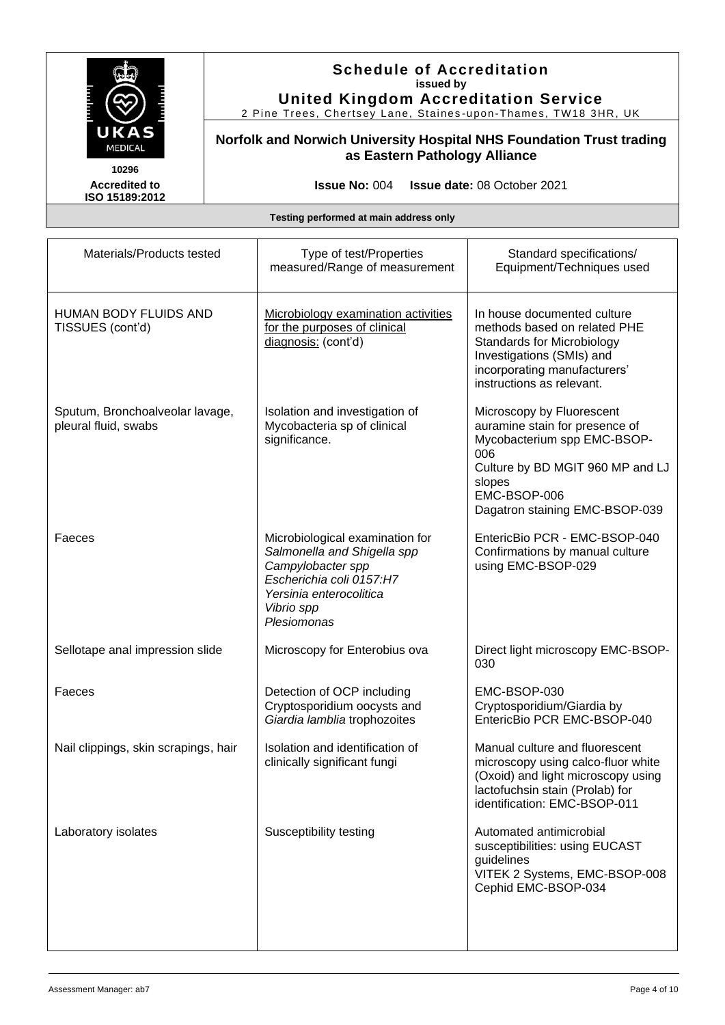

2 Pine Trees, Chertsey Lane, Staines -upon -Thames, TW18 3HR, UK

**Norfolk and Norwich University Hospital NHS Foundation Trust trading as Eastern Pathology Alliance**

**Accredited to ISO 15189:2012** 

**Issue No:** 004 **Issue date:** 08 October 2021

| Materials/Products tested                               | Type of test/Properties<br>measured/Range of measurement                                                                                                                | Standard specifications/<br>Equipment/Techniques used                                                                                                                                             |
|---------------------------------------------------------|-------------------------------------------------------------------------------------------------------------------------------------------------------------------------|---------------------------------------------------------------------------------------------------------------------------------------------------------------------------------------------------|
| HUMAN BODY FLUIDS AND<br>TISSUES (cont'd)               | Microbiology examination activities<br>for the purposes of clinical<br>diagnosis: (cont'd)                                                                              | In house documented culture<br>methods based on related PHE<br><b>Standards for Microbiology</b><br>Investigations (SMIs) and<br>incorporating manufacturers'<br>instructions as relevant.        |
| Sputum, Bronchoalveolar lavage,<br>pleural fluid, swabs | Isolation and investigation of<br>Mycobacteria sp of clinical<br>significance.                                                                                          | Microscopy by Fluorescent<br>auramine stain for presence of<br>Mycobacterium spp EMC-BSOP-<br>006<br>Culture by BD MGIT 960 MP and LJ<br>slopes<br>EMC-BSOP-006<br>Dagatron staining EMC-BSOP-039 |
| Faeces                                                  | Microbiological examination for<br>Salmonella and Shigella spp<br>Campylobacter spp<br>Escherichia coli 0157:H7<br>Yersinia enterocolitica<br>Vibrio spp<br>Plesiomonas | EntericBio PCR - EMC-BSOP-040<br>Confirmations by manual culture<br>using EMC-BSOP-029                                                                                                            |
| Sellotape anal impression slide                         | Microscopy for Enterobius ova                                                                                                                                           | Direct light microscopy EMC-BSOP-<br>030                                                                                                                                                          |
| Faeces                                                  | Detection of OCP including<br>Cryptosporidium oocysts and<br>Giardia lamblia trophozoites                                                                               | EMC-BSOP-030<br>Cryptosporidium/Giardia by<br>EntericBio PCR EMC-BSOP-040                                                                                                                         |
| Nail clippings, skin scrapings, hair                    | Isolation and identification of<br>clinically significant fungi                                                                                                         | Manual culture and fluorescent<br>microscopy using calco-fluor white<br>(Oxoid) and light microscopy using<br>lactofuchsin stain (Prolab) for<br>identification: EMC-BSOP-011                     |
| Laboratory isolates                                     | Susceptibility testing                                                                                                                                                  | Automated antimicrobial<br>susceptibilities: using EUCAST<br>guidelines<br>VITEK 2 Systems, EMC-BSOP-008<br>Cephid EMC-BSOP-034                                                                   |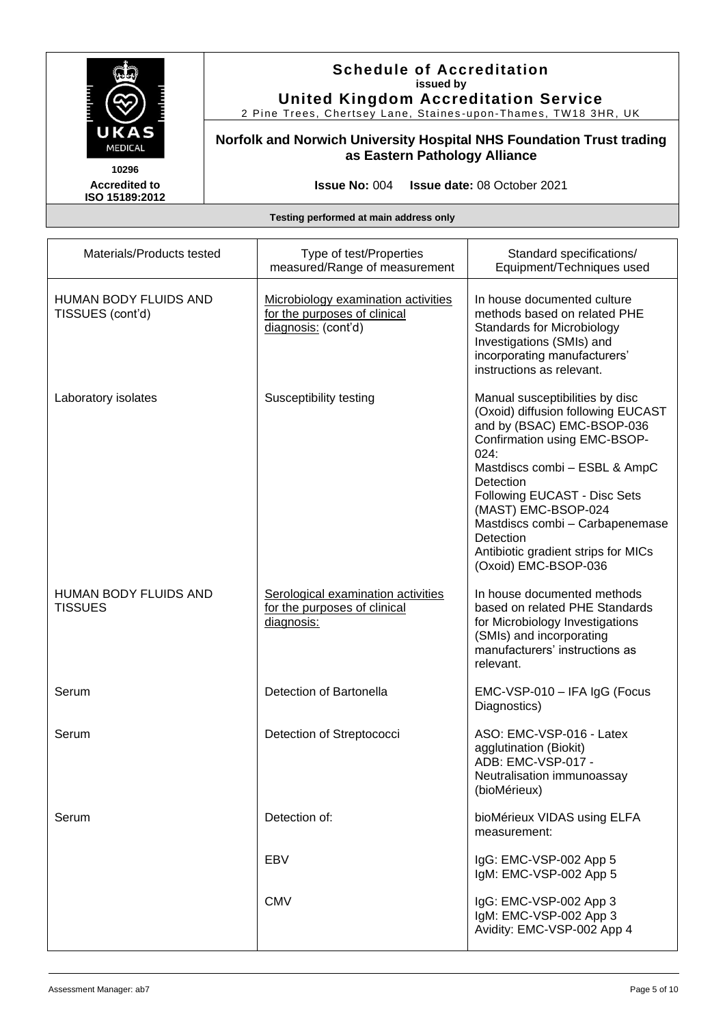

2 Pine Trees, Chertsey Lane, Staines -upon -Thames, TW18 3HR, UK

**Norfolk and Norwich University Hospital NHS Foundation Trust trading as Eastern Pathology Alliance**

**Accredited to ISO 15189:2012** 

**Issue No:** 004 **Issue date:** 08 October 2021

| Materials/Products tested                        | Type of test/Properties<br>measured/Range of measurement                                   | Standard specifications/<br>Equipment/Techniques used                                                                                                                                                                                                                                                                                                           |
|--------------------------------------------------|--------------------------------------------------------------------------------------------|-----------------------------------------------------------------------------------------------------------------------------------------------------------------------------------------------------------------------------------------------------------------------------------------------------------------------------------------------------------------|
| <b>HUMAN BODY FLUIDS AND</b><br>TISSUES (cont'd) | Microbiology examination activities<br>for the purposes of clinical<br>diagnosis: (cont'd) | In house documented culture<br>methods based on related PHE<br><b>Standards for Microbiology</b><br>Investigations (SMIs) and<br>incorporating manufacturers'<br>instructions as relevant.                                                                                                                                                                      |
| Laboratory isolates                              | Susceptibility testing                                                                     | Manual susceptibilities by disc<br>(Oxoid) diffusion following EUCAST<br>and by (BSAC) EMC-BSOP-036<br>Confirmation using EMC-BSOP-<br>024:<br>Mastdiscs combi - ESBL & AmpC<br>Detection<br>Following EUCAST - Disc Sets<br>(MAST) EMC-BSOP-024<br>Mastdiscs combi - Carbapenemase<br>Detection<br>Antibiotic gradient strips for MICs<br>(Oxoid) EMC-BSOP-036 |
| <b>HUMAN BODY FLUIDS AND</b><br><b>TISSUES</b>   | Serological examination activities<br>for the purposes of clinical<br>diagnosis:           | In house documented methods<br>based on related PHE Standards<br>for Microbiology Investigations<br>(SMIs) and incorporating<br>manufacturers' instructions as<br>relevant.                                                                                                                                                                                     |
| Serum                                            | Detection of Bartonella                                                                    | EMC-VSP-010 - IFA IgG (Focus<br>Diagnostics)                                                                                                                                                                                                                                                                                                                    |
| Serum                                            | Detection of Streptococci                                                                  | ASO: EMC-VSP-016 - Latex<br>agglutination (Biokit)<br>ADB: EMC-VSP-017 -<br>Neutralisation immunoassay<br>(bioMérieux)                                                                                                                                                                                                                                          |
| Serum                                            | Detection of:                                                                              | bioMérieux VIDAS using ELFA<br>measurement:                                                                                                                                                                                                                                                                                                                     |
|                                                  | EBV                                                                                        | IgG: EMC-VSP-002 App 5<br>IgM: EMC-VSP-002 App 5                                                                                                                                                                                                                                                                                                                |
|                                                  | <b>CMV</b>                                                                                 | IgG: EMC-VSP-002 App 3<br>IgM: EMC-VSP-002 App 3<br>Avidity: EMC-VSP-002 App 4                                                                                                                                                                                                                                                                                  |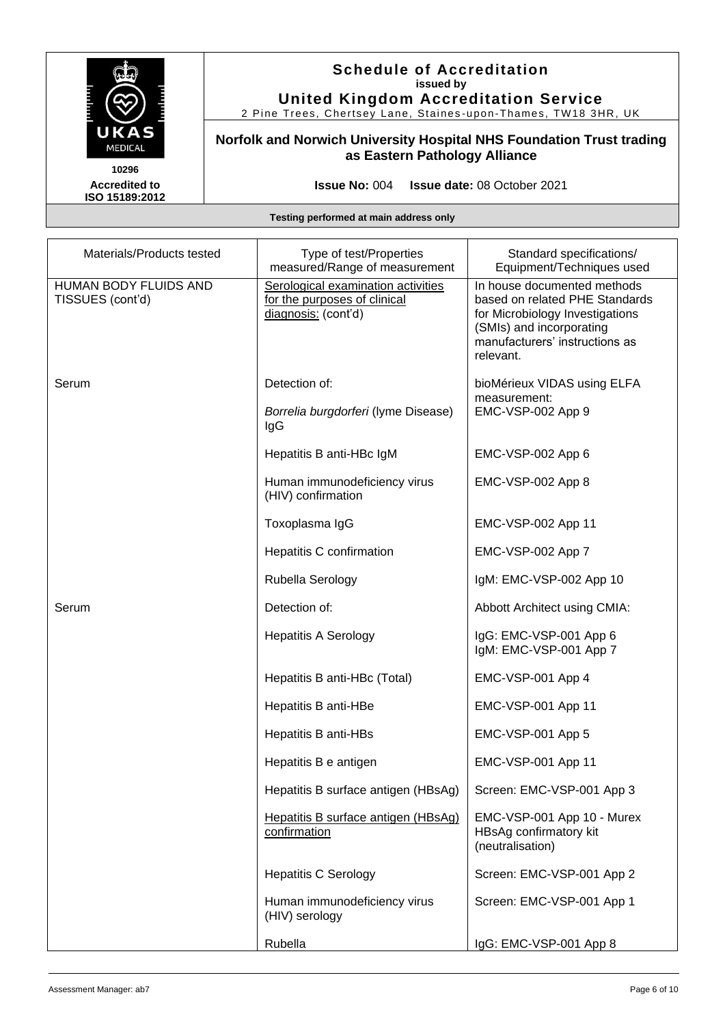

2 Pine Trees, Chertsey Lane, Staines -upon -Thames, TW18 3HR, UK

**Norfolk and Norwich University Hospital NHS Foundation Trust trading as Eastern Pathology Alliance**

**Accredited to ISO 15189:2012** 

**Issue No:** 004 **Issue date:** 08 October 2021

| Materials/Products tested                 | Type of test/Properties<br>measured/Range of measurement                                  | Standard specifications/<br>Equipment/Techniques used                                                                                                                       |
|-------------------------------------------|-------------------------------------------------------------------------------------------|-----------------------------------------------------------------------------------------------------------------------------------------------------------------------------|
| HUMAN BODY FLUIDS AND<br>TISSUES (cont'd) | Serological examination activities<br>for the purposes of clinical<br>diagnosis: (cont'd) | In house documented methods<br>based on related PHE Standards<br>for Microbiology Investigations<br>(SMIs) and incorporating<br>manufacturers' instructions as<br>relevant. |
| Serum                                     | Detection of:<br>Borrelia burgdorferi (lyme Disease)<br>IgG                               | bioMérieux VIDAS using ELFA<br>measurement:<br>EMC-VSP-002 App 9                                                                                                            |
|                                           | Hepatitis B anti-HBc IgM                                                                  | EMC-VSP-002 App 6                                                                                                                                                           |
|                                           | Human immunodeficiency virus<br>(HIV) confirmation                                        | EMC-VSP-002 App 8                                                                                                                                                           |
|                                           | Toxoplasma IgG                                                                            | EMC-VSP-002 App 11                                                                                                                                                          |
|                                           | Hepatitis C confirmation                                                                  | EMC-VSP-002 App 7                                                                                                                                                           |
|                                           | Rubella Serology                                                                          | IgM: EMC-VSP-002 App 10                                                                                                                                                     |
| Serum                                     | Detection of:                                                                             | Abbott Architect using CMIA:                                                                                                                                                |
|                                           | <b>Hepatitis A Serology</b>                                                               | IgG: EMC-VSP-001 App 6<br>IgM: EMC-VSP-001 App 7                                                                                                                            |
|                                           | Hepatitis B anti-HBc (Total)                                                              | EMC-VSP-001 App 4                                                                                                                                                           |
|                                           | Hepatitis B anti-HBe                                                                      | EMC-VSP-001 App 11                                                                                                                                                          |
|                                           | Hepatitis B anti-HBs                                                                      | EMC-VSP-001 App 5                                                                                                                                                           |
|                                           | Hepatitis B e antigen                                                                     | EMC-VSP-001 App 11                                                                                                                                                          |
|                                           | Hepatitis B surface antigen (HBsAg)                                                       | Screen: EMC-VSP-001 App 3                                                                                                                                                   |
|                                           | Hepatitis B surface antigen (HBsAg)<br>confirmation                                       | EMC-VSP-001 App 10 - Murex<br>HBsAg confirmatory kit<br>(neutralisation)                                                                                                    |
|                                           | <b>Hepatitis C Serology</b>                                                               | Screen: EMC-VSP-001 App 2                                                                                                                                                   |
|                                           | Human immunodeficiency virus<br>(HIV) serology                                            | Screen: EMC-VSP-001 App 1                                                                                                                                                   |
|                                           | Rubella                                                                                   | IgG: EMC-VSP-001 App 8                                                                                                                                                      |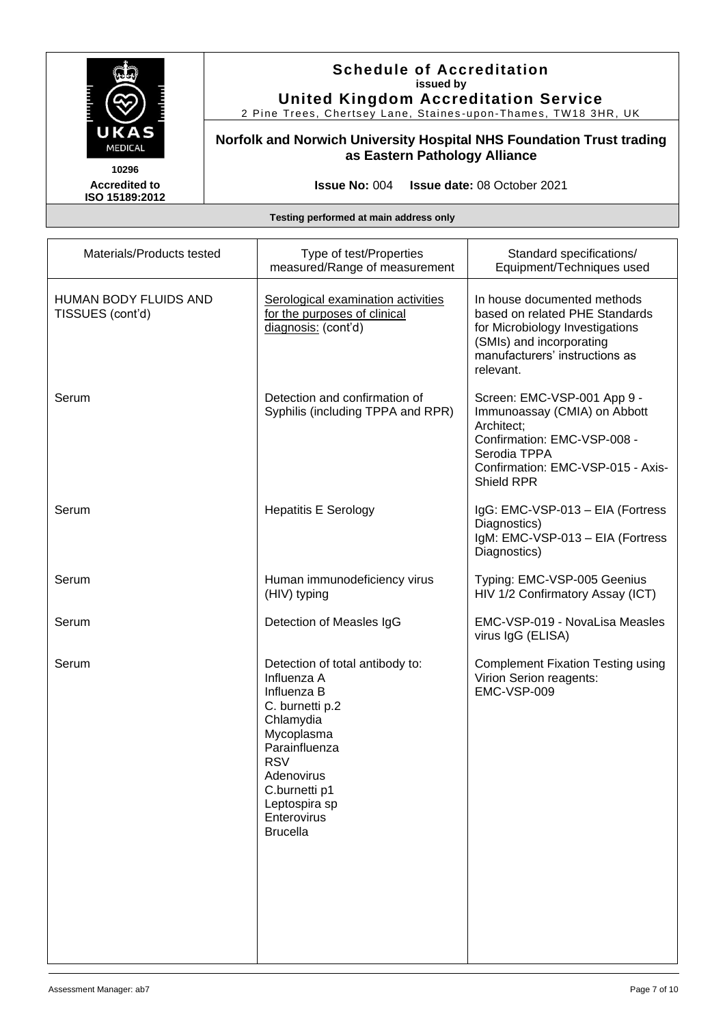

2 Pine Trees, Chertsey Lane, Staines -upon -Thames, TW18 3HR, UK

**Norfolk and Norwich University Hospital NHS Foundation Trust trading as Eastern Pathology Alliance**

**Accredited to ISO 15189:2012** 

**Issue No:** 004 **Issue date:** 08 October 2021

| Materials/Products tested                        | Type of test/Properties<br>measured/Range of measurement                                                                                                                                                                     | Standard specifications/<br>Equipment/Techniques used                                                                                                                       |
|--------------------------------------------------|------------------------------------------------------------------------------------------------------------------------------------------------------------------------------------------------------------------------------|-----------------------------------------------------------------------------------------------------------------------------------------------------------------------------|
| <b>HUMAN BODY FLUIDS AND</b><br>TISSUES (cont'd) | Serological examination activities<br>for the purposes of clinical<br>diagnosis: (cont'd)                                                                                                                                    | In house documented methods<br>based on related PHE Standards<br>for Microbiology Investigations<br>(SMIs) and incorporating<br>manufacturers' instructions as<br>relevant. |
| Serum                                            | Detection and confirmation of<br>Syphilis (including TPPA and RPR)                                                                                                                                                           | Screen: EMC-VSP-001 App 9 -<br>Immunoassay (CMIA) on Abbott<br>Architect;<br>Confirmation: EMC-VSP-008 -<br>Serodia TPPA<br>Confirmation: EMC-VSP-015 - Axis-<br>Shield RPR |
| Serum                                            | <b>Hepatitis E Serology</b>                                                                                                                                                                                                  | IgG: EMC-VSP-013 - EIA (Fortress<br>Diagnostics)<br>IgM: EMC-VSP-013 - EIA (Fortress<br>Diagnostics)                                                                        |
| Serum                                            | Human immunodeficiency virus<br>(HIV) typing                                                                                                                                                                                 | Typing: EMC-VSP-005 Geenius<br>HIV 1/2 Confirmatory Assay (ICT)                                                                                                             |
| Serum                                            | Detection of Measles IgG                                                                                                                                                                                                     | EMC-VSP-019 - NovaLisa Measles<br>virus IgG (ELISA)                                                                                                                         |
| Serum                                            | Detection of total antibody to:<br>Influenza A<br>Influenza B<br>C. burnetti p.2<br>Chlamydia<br>Mycoplasma<br>Parainfluenza<br><b>RSV</b><br>Adenovirus<br>C.burnetti p1<br>Leptospira sp<br>Enterovirus<br><b>Brucella</b> | <b>Complement Fixation Testing using</b><br>Virion Serion reagents:<br>EMC-VSP-009                                                                                          |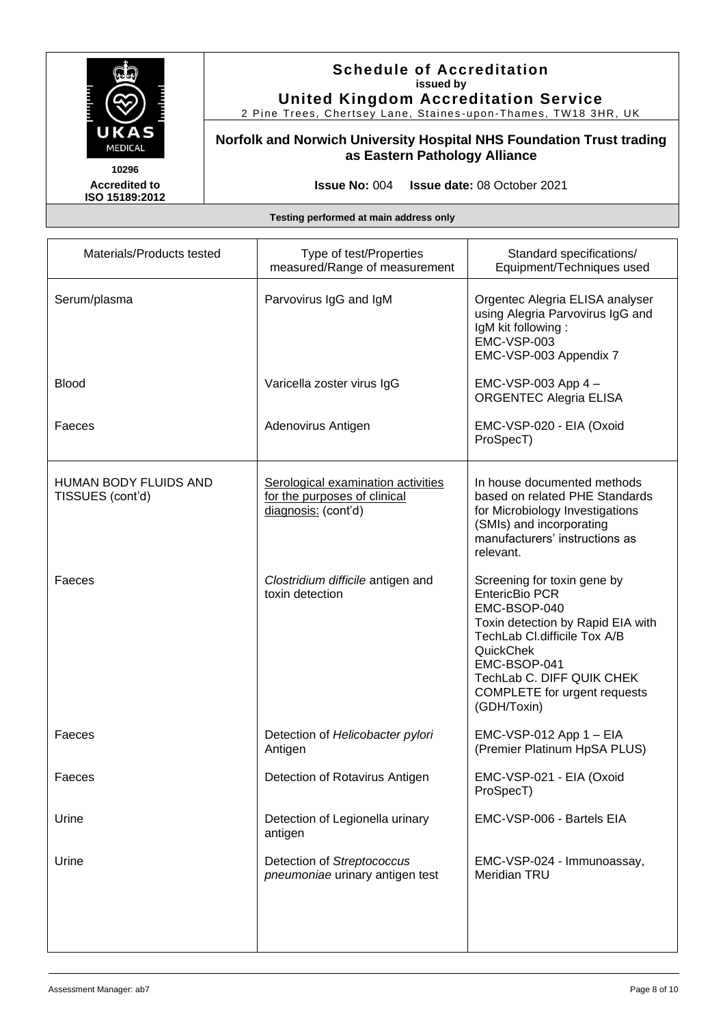

2 Pine Trees, Chertsey Lane, Staines -upon -Thames, TW18 3HR, UK

**Norfolk and Norwich University Hospital NHS Foundation Trust trading as Eastern Pathology Alliance**

**Accredited to ISO 15189:2012** 

**Issue No:** 004 **Issue date:** 08 October 2021

| Materials/Products tested                 | Type of test/Properties<br>measured/Range of measurement                                  | Standard specifications/<br>Equipment/Techniques used                                                                                                                                                                                                     |
|-------------------------------------------|-------------------------------------------------------------------------------------------|-----------------------------------------------------------------------------------------------------------------------------------------------------------------------------------------------------------------------------------------------------------|
| Serum/plasma                              | Parvovirus IgG and IgM                                                                    | Orgentec Alegria ELISA analyser<br>using Alegria Parvovirus IgG and<br>IgM kit following:<br>EMC-VSP-003<br>EMC-VSP-003 Appendix 7                                                                                                                        |
| <b>Blood</b>                              | Varicella zoster virus IgG                                                                | EMC-VSP-003 App 4 -<br><b>ORGENTEC Alegria ELISA</b>                                                                                                                                                                                                      |
| Faeces                                    | Adenovirus Antigen                                                                        | EMC-VSP-020 - EIA (Oxoid<br>ProSpecT)                                                                                                                                                                                                                     |
| HUMAN BODY FLUIDS AND<br>TISSUES (cont'd) | Serological examination activities<br>for the purposes of clinical<br>diagnosis: (cont'd) | In house documented methods<br>based on related PHE Standards<br>for Microbiology Investigations<br>(SMIs) and incorporating<br>manufacturers' instructions as<br>relevant.                                                                               |
| Faeces                                    | Clostridium difficile antigen and<br>toxin detection                                      | Screening for toxin gene by<br><b>EntericBio PCR</b><br>EMC-BSOP-040<br>Toxin detection by Rapid EIA with<br>TechLab Cl.difficile Tox A/B<br>QuickChek<br>EMC-BSOP-041<br>TechLab C. DIFF QUIK CHEK<br><b>COMPLETE</b> for urgent requests<br>(GDH/Toxin) |
| Faeces                                    | Detection of Helicobacter pylori<br>Antigen                                               | EMC-VSP-012 App 1 - EIA<br>(Premier Platinum HpSA PLUS)                                                                                                                                                                                                   |
| Faeces                                    | Detection of Rotavirus Antigen                                                            | EMC-VSP-021 - EIA (Oxoid<br>ProSpecT)                                                                                                                                                                                                                     |
| Urine                                     | Detection of Legionella urinary<br>antigen                                                | EMC-VSP-006 - Bartels EIA                                                                                                                                                                                                                                 |
| Urine                                     | Detection of Streptococcus<br>pneumoniae urinary antigen test                             | EMC-VSP-024 - Immunoassay,<br><b>Meridian TRU</b>                                                                                                                                                                                                         |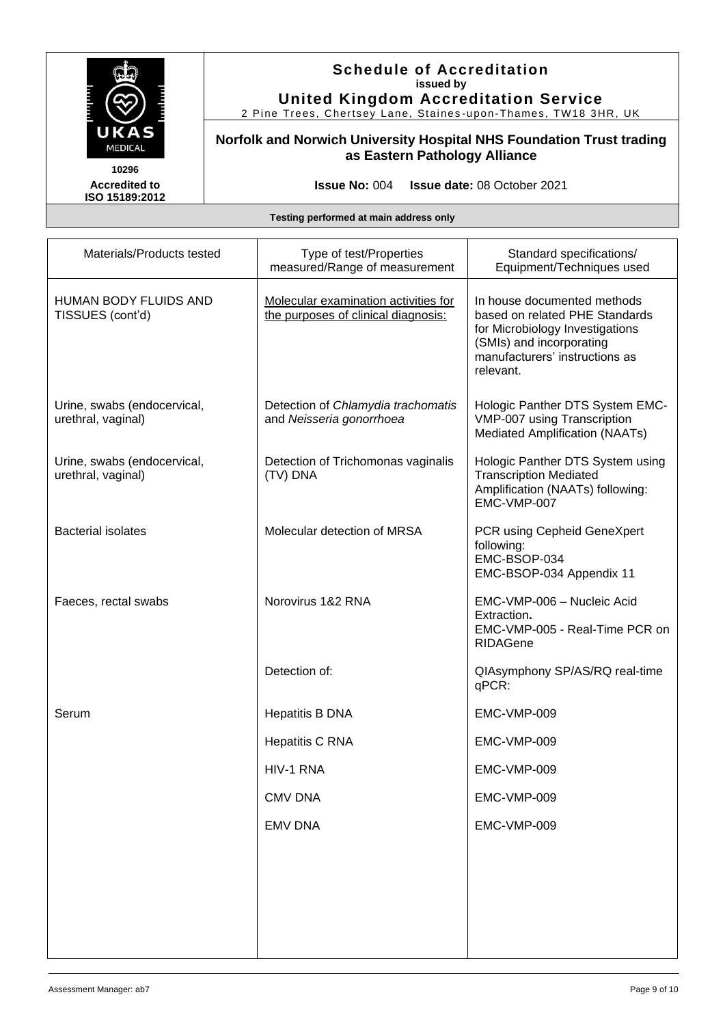

2 Pine Trees, Chertsey Lane, Staines -upon -Thames, TW18 3HR, UK

**Norfolk and Norwich University Hospital NHS Foundation Trust trading as Eastern Pathology Alliance**

**Accredited to ISO 15189:2012** 

**Issue No:** 004 **Issue date:** 08 October 2021

| Materials/Products tested                         | Type of test/Properties<br>measured/Range of measurement                    | Standard specifications/<br>Equipment/Techniques used                                                                                                                       |
|---------------------------------------------------|-----------------------------------------------------------------------------|-----------------------------------------------------------------------------------------------------------------------------------------------------------------------------|
| HUMAN BODY FLUIDS AND<br>TISSUES (cont'd)         | Molecular examination activities for<br>the purposes of clinical diagnosis: | In house documented methods<br>based on related PHE Standards<br>for Microbiology Investigations<br>(SMIs) and incorporating<br>manufacturers' instructions as<br>relevant. |
| Urine, swabs (endocervical,<br>urethral, vaginal) | Detection of Chlamydia trachomatis<br>and Neisseria gonorrhoea              | Hologic Panther DTS System EMC-<br>VMP-007 using Transcription<br>Mediated Amplification (NAATs)                                                                            |
| Urine, swabs (endocervical,<br>urethral, vaginal) | Detection of Trichomonas vaginalis<br>(TV) DNA                              | Hologic Panther DTS System using<br><b>Transcription Mediated</b><br>Amplification (NAATs) following:<br>EMC-VMP-007                                                        |
| <b>Bacterial isolates</b>                         | Molecular detection of MRSA                                                 | PCR using Cepheid GeneXpert<br>following:<br>EMC-BSOP-034<br>EMC-BSOP-034 Appendix 11                                                                                       |
| Faeces, rectal swabs                              | Norovirus 1&2 RNA                                                           | EMC-VMP-006 - Nucleic Acid<br>Extraction.<br>EMC-VMP-005 - Real-Time PCR on<br><b>RIDAGene</b>                                                                              |
|                                                   | Detection of:                                                               | QIAsymphony SP/AS/RQ real-time<br>qPCR:                                                                                                                                     |
| Serum                                             | <b>Hepatitis B DNA</b>                                                      | EMC-VMP-009                                                                                                                                                                 |
|                                                   | <b>Hepatitis C RNA</b>                                                      | EMC-VMP-009                                                                                                                                                                 |
|                                                   | HIV-1 RNA                                                                   | EMC-VMP-009                                                                                                                                                                 |
|                                                   | <b>CMV DNA</b>                                                              | EMC-VMP-009                                                                                                                                                                 |
|                                                   | <b>EMV DNA</b>                                                              | EMC-VMP-009                                                                                                                                                                 |
|                                                   |                                                                             |                                                                                                                                                                             |
|                                                   |                                                                             |                                                                                                                                                                             |
|                                                   |                                                                             |                                                                                                                                                                             |
|                                                   |                                                                             |                                                                                                                                                                             |